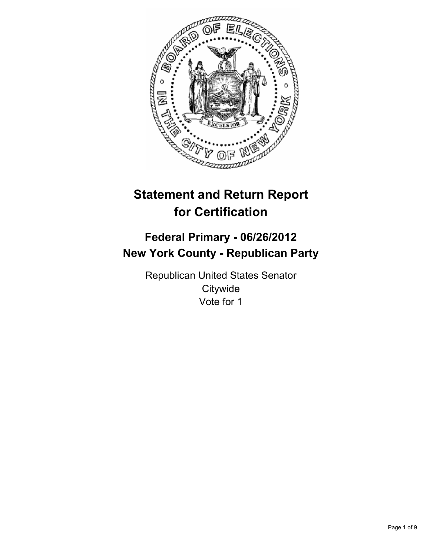

# **Statement and Return Report for Certification**

# **Federal Primary - 06/26/2012 New York County - Republican Party**

Republican United States Senator **Citywide** Vote for 1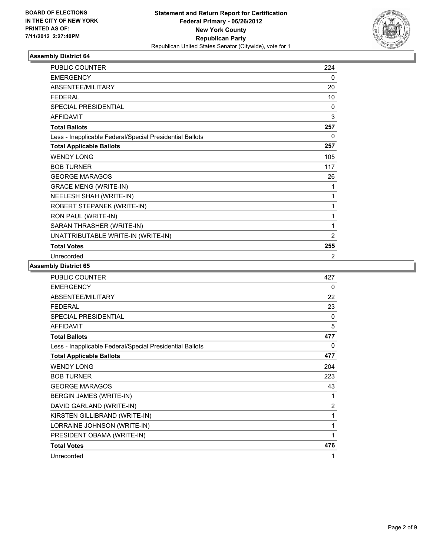

| <b>PUBLIC COUNTER</b>                                    | 224            |
|----------------------------------------------------------|----------------|
| <b>EMERGENCY</b>                                         | 0              |
| ABSENTEE/MILITARY                                        | 20             |
| <b>FEDERAL</b>                                           | 10             |
| <b>SPECIAL PRESIDENTIAL</b>                              | 0              |
| <b>AFFIDAVIT</b>                                         | 3              |
| <b>Total Ballots</b>                                     | 257            |
| Less - Inapplicable Federal/Special Presidential Ballots | $\Omega$       |
| <b>Total Applicable Ballots</b>                          | 257            |
| <b>WENDY LONG</b>                                        | 105            |
| <b>BOB TURNER</b>                                        | 117            |
| <b>GEORGE MARAGOS</b>                                    | 26             |
| <b>GRACE MENG (WRITE-IN)</b>                             | 1              |
| NEELESH SHAH (WRITE-IN)                                  | 1              |
| ROBERT STEPANEK (WRITE-IN)                               | 1              |
| RON PAUL (WRITE-IN)                                      | 1              |
| SARAN THRASHER (WRITE-IN)                                | 1              |
| UNATTRIBUTABLE WRITE-IN (WRITE-IN)                       | $\overline{2}$ |
| <b>Total Votes</b>                                       | 255            |
| Unrecorded                                               | 2              |

| <b>PUBLIC COUNTER</b>                                    | 427      |
|----------------------------------------------------------|----------|
| <b>EMERGENCY</b>                                         | 0        |
| ABSENTEE/MILITARY                                        | 22       |
| <b>FEDERAL</b>                                           | 23       |
| SPECIAL PRESIDENTIAL                                     | 0        |
| <b>AFFIDAVIT</b>                                         | 5        |
| <b>Total Ballots</b>                                     | 477      |
| Less - Inapplicable Federal/Special Presidential Ballots | $\Omega$ |
| <b>Total Applicable Ballots</b>                          | 477      |
| <b>WENDY LONG</b>                                        | 204      |
| <b>BOB TURNER</b>                                        | 223      |
| <b>GEORGE MARAGOS</b>                                    | 43       |
| BERGIN JAMES (WRITE-IN)                                  | 1        |
| DAVID GARLAND (WRITE-IN)                                 | 2        |
| KIRSTEN GILLIBRAND (WRITE-IN)                            | 1        |
| LORRAINE JOHNSON (WRITE-IN)                              | 1        |
| PRESIDENT OBAMA (WRITE-IN)                               | 1        |
| <b>Total Votes</b>                                       | 476      |
| Unrecorded                                               | 1        |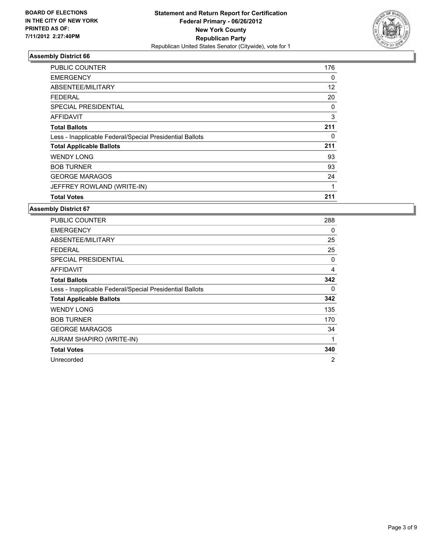

| <b>PUBLIC COUNTER</b>                                    | 176 |
|----------------------------------------------------------|-----|
| <b>EMERGENCY</b>                                         | 0   |
| ABSENTEE/MILITARY                                        | 12  |
| FEDERAL                                                  | 20  |
| SPECIAL PRESIDENTIAL                                     | 0   |
| AFFIDAVIT                                                | 3   |
| <b>Total Ballots</b>                                     | 211 |
| Less - Inapplicable Federal/Special Presidential Ballots | 0   |
| <b>Total Applicable Ballots</b>                          | 211 |
| <b>WENDY LONG</b>                                        | 93  |
| <b>BOB TURNER</b>                                        | 93  |
| <b>GEORGE MARAGOS</b>                                    | 24  |
| JEFFREY ROWLAND (WRITE-IN)                               | 1   |
| <b>Total Votes</b>                                       | 211 |

| <b>PUBLIC COUNTER</b>                                    | 288            |
|----------------------------------------------------------|----------------|
| <b>EMERGENCY</b>                                         | 0              |
| ABSENTEE/MILITARY                                        | 25             |
| <b>FEDERAL</b>                                           | 25             |
| <b>SPECIAL PRESIDENTIAL</b>                              | 0              |
| <b>AFFIDAVIT</b>                                         | 4              |
| <b>Total Ballots</b>                                     | 342            |
| Less - Inapplicable Federal/Special Presidential Ballots | 0              |
| <b>Total Applicable Ballots</b>                          | 342            |
| <b>WENDY LONG</b>                                        | 135            |
| <b>BOB TURNER</b>                                        | 170            |
| <b>GEORGE MARAGOS</b>                                    | 34             |
| AURAM SHAPIRO (WRITE-IN)                                 |                |
| <b>Total Votes</b>                                       | 340            |
| Unrecorded                                               | $\overline{2}$ |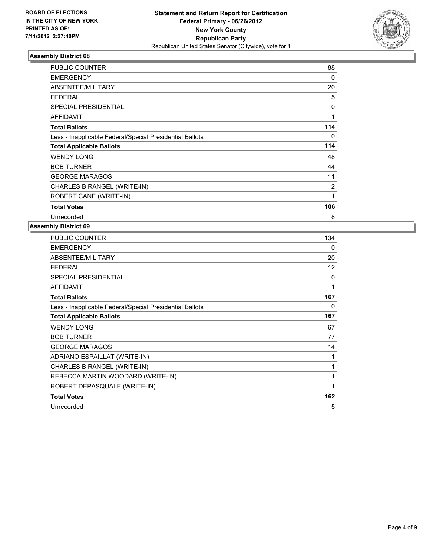

| <b>PUBLIC COUNTER</b>                                    | 88  |
|----------------------------------------------------------|-----|
| <b>EMERGENCY</b>                                         | 0   |
| ABSENTEE/MILITARY                                        | 20  |
| <b>FEDERAL</b>                                           | 5   |
| <b>SPECIAL PRESIDENTIAL</b>                              | 0   |
| <b>AFFIDAVIT</b>                                         | 1   |
| <b>Total Ballots</b>                                     | 114 |
| Less - Inapplicable Federal/Special Presidential Ballots | 0   |
| <b>Total Applicable Ballots</b>                          | 114 |
| <b>WENDY LONG</b>                                        | 48  |
| <b>BOB TURNER</b>                                        | 44  |
| <b>GEORGE MARAGOS</b>                                    | 11  |
| CHARLES B RANGEL (WRITE-IN)                              | 2   |
| ROBERT CANE (WRITE-IN)                                   | 1   |
| <b>Total Votes</b>                                       | 106 |
| Unrecorded                                               | 8   |

| PUBLIC COUNTER                                           | 134 |
|----------------------------------------------------------|-----|
| <b>EMERGENCY</b>                                         | 0   |
| <b>ABSENTEE/MILITARY</b>                                 | 20  |
| <b>FEDERAL</b>                                           | 12  |
| <b>SPECIAL PRESIDENTIAL</b>                              | 0   |
| <b>AFFIDAVIT</b>                                         | 1   |
| <b>Total Ballots</b>                                     | 167 |
| Less - Inapplicable Federal/Special Presidential Ballots | 0   |
| <b>Total Applicable Ballots</b>                          | 167 |
| <b>WENDY LONG</b>                                        | 67  |
| <b>BOB TURNER</b>                                        | 77  |
| <b>GEORGE MARAGOS</b>                                    | 14  |
| ADRIANO ESPAILLAT (WRITE-IN)                             | 1   |
| CHARLES B RANGEL (WRITE-IN)                              | 1   |
| REBECCA MARTIN WOODARD (WRITE-IN)                        | 1   |
| ROBERT DEPASQUALE (WRITE-IN)                             | 1   |
| <b>Total Votes</b>                                       | 162 |
| Unrecorded                                               | 5   |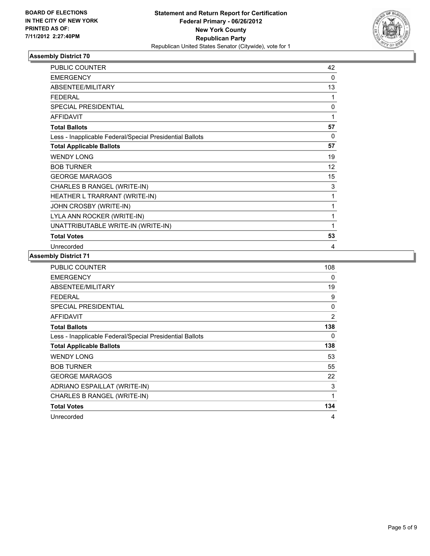

| PUBLIC COUNTER                                           | 42       |
|----------------------------------------------------------|----------|
| <b>EMERGENCY</b>                                         | $\Omega$ |
| <b>ABSENTEE/MILITARY</b>                                 | 13       |
| <b>FEDERAL</b>                                           | 1        |
| <b>SPECIAL PRESIDENTIAL</b>                              | 0        |
| <b>AFFIDAVIT</b>                                         | 1        |
| <b>Total Ballots</b>                                     | 57       |
| Less - Inapplicable Federal/Special Presidential Ballots | 0        |
| <b>Total Applicable Ballots</b>                          | 57       |
| <b>WENDY LONG</b>                                        | 19       |
| <b>BOB TURNER</b>                                        | 12       |
| <b>GEORGE MARAGOS</b>                                    | 15       |
| CHARLES B RANGEL (WRITE-IN)                              | 3        |
| HEATHER L TRARRANT (WRITE-IN)                            | 1        |
| JOHN CROSBY (WRITE-IN)                                   | 1        |
| LYLA ANN ROCKER (WRITE-IN)                               | 1        |
| UNATTRIBUTABLE WRITE-IN (WRITE-IN)                       | 1        |
| <b>Total Votes</b>                                       | 53       |
| Unrecorded                                               | 4        |

| <b>PUBLIC COUNTER</b>                                    | 108 |
|----------------------------------------------------------|-----|
| <b>EMERGENCY</b>                                         | 0   |
| ABSENTEE/MILITARY                                        | 19  |
| <b>FEDERAL</b>                                           | 9   |
| SPECIAL PRESIDENTIAL                                     | 0   |
| <b>AFFIDAVIT</b>                                         | 2   |
| <b>Total Ballots</b>                                     | 138 |
| Less - Inapplicable Federal/Special Presidential Ballots | 0   |
| <b>Total Applicable Ballots</b>                          | 138 |
| <b>WENDY LONG</b>                                        | 53  |
| <b>BOB TURNER</b>                                        | 55  |
| <b>GEORGE MARAGOS</b>                                    | 22  |
|                                                          |     |
| ADRIANO ESPAILLAT (WRITE-IN)                             | 3   |
| CHARLES B RANGEL (WRITE-IN)                              | 1   |
| <b>Total Votes</b>                                       | 134 |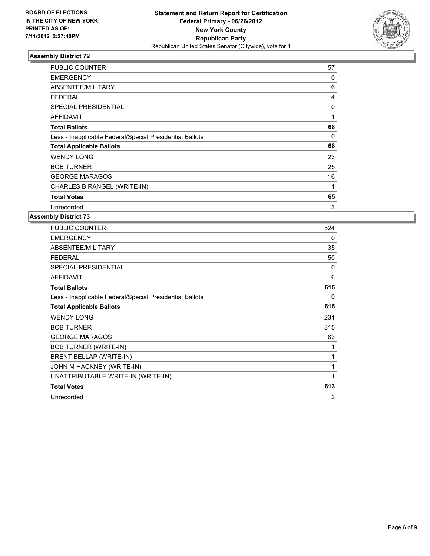

| <b>PUBLIC COUNTER</b>                                    | 57 |
|----------------------------------------------------------|----|
| <b>EMERGENCY</b>                                         | 0  |
| ABSENTEE/MILITARY                                        | 6  |
| FEDERAL                                                  | 4  |
| <b>SPECIAL PRESIDENTIAL</b>                              | 0  |
| <b>AFFIDAVIT</b>                                         | 1  |
| <b>Total Ballots</b>                                     | 68 |
| Less - Inapplicable Federal/Special Presidential Ballots | 0  |
| <b>Total Applicable Ballots</b>                          | 68 |
| <b>WENDY LONG</b>                                        | 23 |
| <b>BOB TURNER</b>                                        | 25 |
| <b>GEORGE MARAGOS</b>                                    | 16 |
| CHARLES B RANGEL (WRITE-IN)                              | 1  |
| <b>Total Votes</b>                                       | 65 |
| Unrecorded                                               | 3  |

| PUBLIC COUNTER                                           | 524 |
|----------------------------------------------------------|-----|
| <b>EMERGENCY</b>                                         | 0   |
| ABSENTEE/MILITARY                                        | 35  |
| <b>FEDERAL</b>                                           | 50  |
| <b>SPECIAL PRESIDENTIAL</b>                              | 0   |
| <b>AFFIDAVIT</b>                                         | 6   |
| <b>Total Ballots</b>                                     | 615 |
| Less - Inapplicable Federal/Special Presidential Ballots | 0   |
| <b>Total Applicable Ballots</b>                          | 615 |
| <b>WENDY LONG</b>                                        | 231 |
| <b>BOB TURNER</b>                                        | 315 |
| <b>GEORGE MARAGOS</b>                                    | 63  |
| <b>BOB TURNER (WRITE-IN)</b>                             | 1   |
| BRENT BELLAP (WRITE-IN)                                  | 1   |
| JOHN M HACKNEY (WRITE-IN)                                | 1   |
| UNATTRIBUTABLE WRITE-IN (WRITE-IN)                       | 1   |
| <b>Total Votes</b>                                       | 613 |
| Unrecorded                                               | 2   |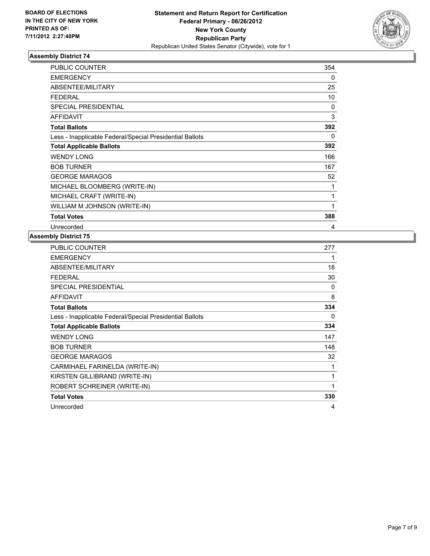

| <b>PUBLIC COUNTER</b>                                    | 354 |
|----------------------------------------------------------|-----|
| <b>EMERGENCY</b>                                         | 0   |
| ABSENTEE/MILITARY                                        | 25  |
| <b>FEDERAL</b>                                           | 10  |
| <b>SPECIAL PRESIDENTIAL</b>                              | 0   |
| <b>AFFIDAVIT</b>                                         | 3   |
| <b>Total Ballots</b>                                     | 392 |
| Less - Inapplicable Federal/Special Presidential Ballots | 0   |
| <b>Total Applicable Ballots</b>                          | 392 |
| <b>WENDY LONG</b>                                        | 166 |
| <b>BOB TURNER</b>                                        | 167 |
| <b>GEORGE MARAGOS</b>                                    | 52  |
| MICHAEL BLOOMBERG (WRITE-IN)                             | 1   |
| MICHAEL CRAFT (WRITE-IN)                                 | 1   |
| WILLIAM M JOHNSON (WRITE-IN)                             | 1   |
| <b>Total Votes</b>                                       | 388 |
| Unrecorded                                               | 4   |

| <b>PUBLIC COUNTER</b>                                    | 277 |
|----------------------------------------------------------|-----|
| <b>EMERGENCY</b>                                         | 1   |
| ABSENTEE/MILITARY                                        | 18  |
| FEDERAL                                                  | 30  |
| <b>SPECIAL PRESIDENTIAL</b>                              | 0   |
| <b>AFFIDAVIT</b>                                         | 8   |
| <b>Total Ballots</b>                                     | 334 |
| Less - Inapplicable Federal/Special Presidential Ballots | 0   |
| <b>Total Applicable Ballots</b>                          | 334 |
| <b>WENDY LONG</b>                                        | 147 |
| <b>BOB TURNER</b>                                        | 148 |
| <b>GEORGE MARAGOS</b>                                    | 32  |
| CARMIHAEL FARINELDA (WRITE-IN)                           | 1   |
| KIRSTEN GILLIBRAND (WRITE-IN)                            | 1   |
| ROBERT SCHREINER (WRITE-IN)                              | 1   |
| <b>Total Votes</b>                                       | 330 |
| Unrecorded                                               | 4   |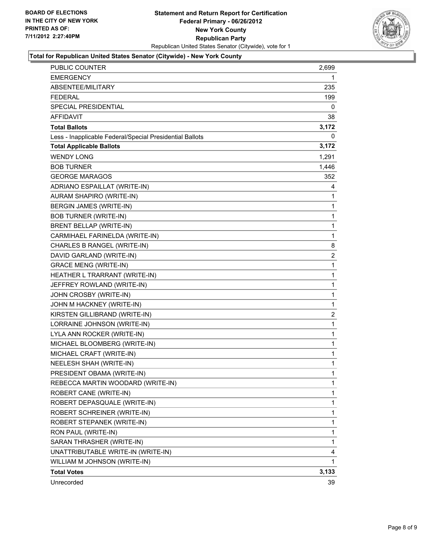## **Statement and Return Report for Certification Federal Primary - 06/26/2012 New York County Republican Party** Republican United States Senator (Citywide), vote for 1



#### **Total for Republican United States Senator (Citywide) - New York County**

| <b>PUBLIC COUNTER</b>                                    | 2,699 |
|----------------------------------------------------------|-------|
| <b>EMERGENCY</b>                                         | 1     |
| ABSENTEE/MILITARY                                        | 235   |
| FEDERAL                                                  | 199   |
| <b>SPECIAL PRESIDENTIAL</b>                              | 0     |
| <b>AFFIDAVIT</b>                                         | 38    |
| <b>Total Ballots</b>                                     | 3,172 |
| Less - Inapplicable Federal/Special Presidential Ballots | 0     |
| <b>Total Applicable Ballots</b>                          | 3,172 |
| <b>WENDY LONG</b>                                        | 1,291 |
| <b>BOB TURNER</b>                                        | 1,446 |
| <b>GEORGE MARAGOS</b>                                    | 352   |
| ADRIANO ESPAILLAT (WRITE-IN)                             | 4     |
| AURAM SHAPIRO (WRITE-IN)                                 | 1     |
| BERGIN JAMES (WRITE-IN)                                  | 1     |
| <b>BOB TURNER (WRITE-IN)</b>                             | 1     |
| BRENT BELLAP (WRITE-IN)                                  | 1     |
| CARMIHAEL FARINELDA (WRITE-IN)                           | 1     |
| CHARLES B RANGEL (WRITE-IN)                              | 8     |
| DAVID GARLAND (WRITE-IN)                                 | 2     |
| <b>GRACE MENG (WRITE-IN)</b>                             | 1     |
| HEATHER L TRARRANT (WRITE-IN)                            | 1     |
| JEFFREY ROWLAND (WRITE-IN)                               | 1     |
| JOHN CROSBY (WRITE-IN)                                   | 1     |
| JOHN M HACKNEY (WRITE-IN)                                | 1     |
| KIRSTEN GILLIBRAND (WRITE-IN)                            | 2     |
| LORRAINE JOHNSON (WRITE-IN)                              | 1     |
| LYLA ANN ROCKER (WRITE-IN)                               | 1     |
| MICHAEL BLOOMBERG (WRITE-IN)                             | 1     |
| MICHAEL CRAFT (WRITE-IN)                                 | 1     |
| NEELESH SHAH (WRITE-IN)                                  | 1     |
| PRESIDENT OBAMA (WRITE-IN)                               | 1     |
| REBECCA MARTIN WOODARD (WRITE-IN)                        | 1     |
| ROBERT CANE (WRITE-IN)                                   | 1     |
| ROBERT DEPASQUALE (WRITE-IN)                             | 1     |
| ROBERT SCHREINER (WRITE-IN)                              | 1     |
| ROBERT STEPANEK (WRITE-IN)                               | 1     |
| RON PAUL (WRITE-IN)                                      | 1     |
| SARAN THRASHER (WRITE-IN)                                | 1     |
| UNATTRIBUTABLE WRITE-IN (WRITE-IN)                       | 4     |
| WILLIAM M JOHNSON (WRITE-IN)                             | 1     |
| <b>Total Votes</b>                                       | 3,133 |
| Unrecorded                                               | 39    |